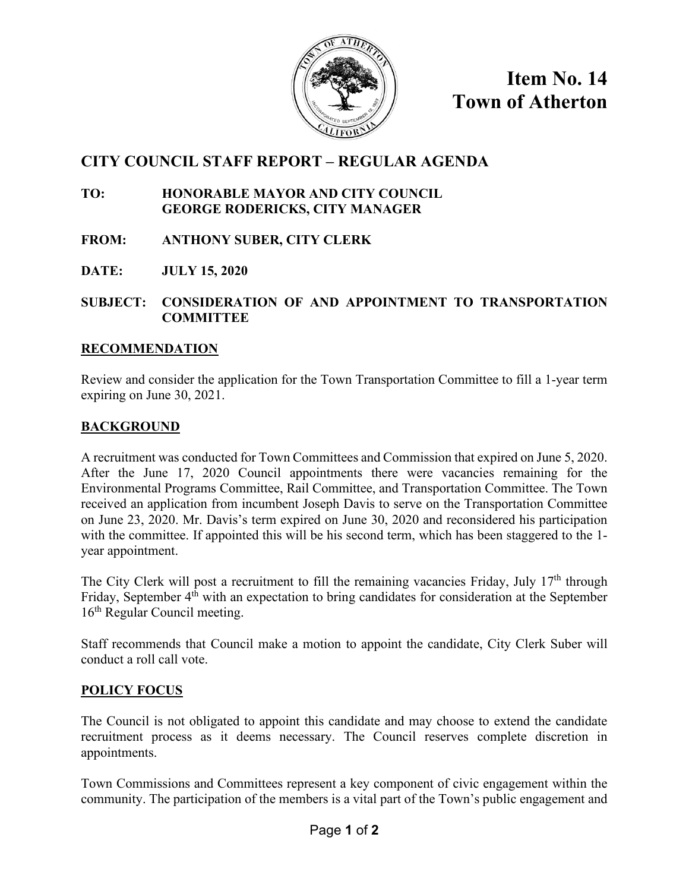

**Item No. 14 Town of Atherton**

# **CITY COUNCIL STAFF REPORT – REGULAR AGENDA**

**TO: HONORABLE MAYOR AND CITY COUNCIL GEORGE RODERICKS, CITY MANAGER**

**FROM: ANTHONY SUBER, CITY CLERK**

**DATE: JULY 15, 2020**

**SUBJECT: CONSIDERATION OF AND APPOINTMENT TO TRANSPORTATION COMMITTEE**

#### **RECOMMENDATION**

Review and consider the application for the Town Transportation Committee to fill a 1-year term expiring on June 30, 2021.

### **BACKGROUND**

A recruitment was conducted for Town Committees and Commission that expired on June 5, 2020. After the June 17, 2020 Council appointments there were vacancies remaining for the Environmental Programs Committee, Rail Committee, and Transportation Committee. The Town received an application from incumbent Joseph Davis to serve on the Transportation Committee on June 23, 2020. Mr. Davis's term expired on June 30, 2020 and reconsidered his participation with the committee. If appointed this will be his second term, which has been staggered to the 1year appointment.

The City Clerk will post a recruitment to fill the remaining vacancies Friday, July 17<sup>th</sup> through Friday, September 4<sup>th</sup> with an expectation to bring candidates for consideration at the September 16<sup>th</sup> Regular Council meeting.

Staff recommends that Council make a motion to appoint the candidate, City Clerk Suber will conduct a roll call vote.

### **POLICY FOCUS**

The Council is not obligated to appoint this candidate and may choose to extend the candidate recruitment process as it deems necessary. The Council reserves complete discretion in appointments.

Town Commissions and Committees represent a key component of civic engagement within the community. The participation of the members is a vital part of the Town's public engagement and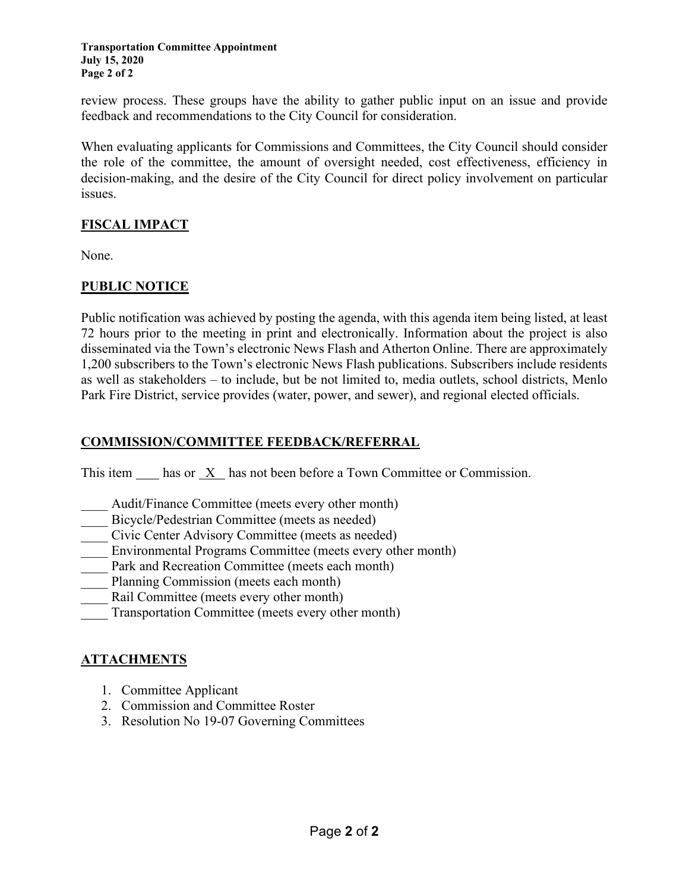**Transportation Committee Appointment July 15, 2020 Page 2 of 2**

review process. These groups have the ability to gather public input on an issue and provide feedback and recommendations to the City Council for consideration.

When evaluating applicants for Commissions and Committees, the City Council should consider the role of the committee, the amount of oversight needed, cost effectiveness, efficiency in decision-making, and the desire of the City Council for direct policy involvement on particular issues.

# **FISCAL IMPACT**

None.

# **PUBLIC NOTICE**

Public notification was achieved by posting the agenda, with this agenda item being listed, at least 72 hours prior to the meeting in print and electronically. Information about the project is also disseminated via the Town's electronic News Flash and Atherton Online. There are approximately 1,200 subscribers to the Town's electronic News Flash publications. Subscribers include residents as well as stakeholders – to include, but be not limited to, media outlets, school districts, Menlo Park Fire District, service provides (water, power, and sewer), and regional elected officials.

#### **COMMISSION/COMMITTEE FEEDBACK/REFERRAL**

This item  $\frac{X}{x}$  has not been before a Town Committee or Commission.

- Audit/Finance Committee (meets every other month)
- Bicycle/Pedestrian Committee (meets as needed)
- \_\_\_\_ Civic Center Advisory Committee (meets as needed)
- Environmental Programs Committee (meets every other month)
- Park and Recreation Committee (meets each month)
- Planning Commission (meets each month)
- Rail Committee (meets every other month)
- Transportation Committee (meets every other month)

### **ATTACHMENTS**

- 1. Committee Applicant
- 2. Commission and Committee Roster
- 3. Resolution No 19-07 Governing Committees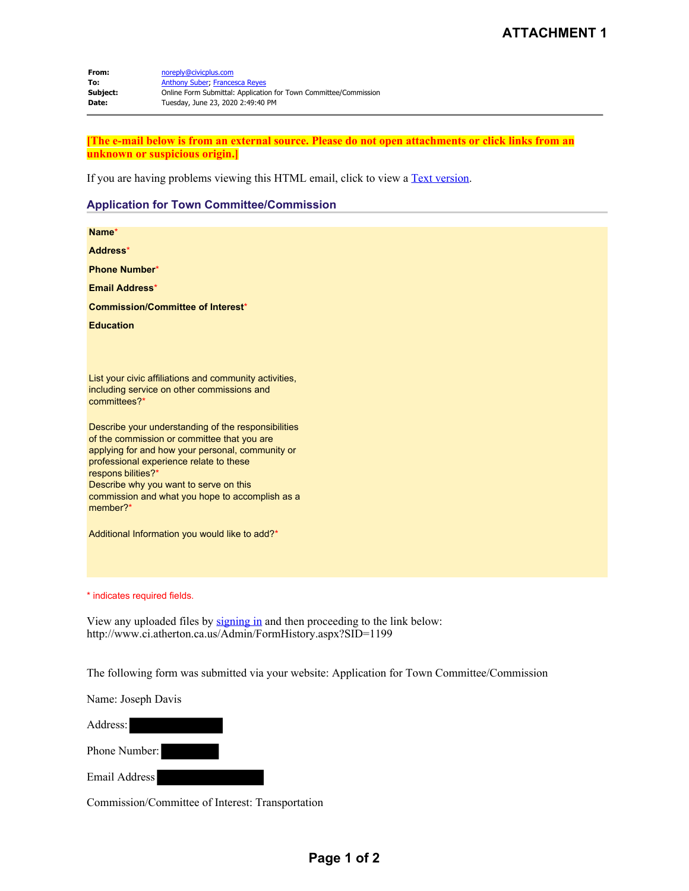**From:** noreply@civicplus.com **To:** Anthony Suber; Francesca Reyes<br> **Subject:** Online Form Submittal: Application **Subject:** Online Form Submittal: Application for Town Committee/Commission **Date:** Tuesday, June 23, 2020 2:49:40 PM

**[The e-mail below is from an external source. Please do not open attachments or click links from an unknown or suspicious origin.]**

If you are having problems viewing this HTML email, click to view a Text version.

#### **Application for Town Committee/Commission**

| Name*                                                                                                                                                                                                                                                                                                                            |
|----------------------------------------------------------------------------------------------------------------------------------------------------------------------------------------------------------------------------------------------------------------------------------------------------------------------------------|
| Address*                                                                                                                                                                                                                                                                                                                         |
| <b>Phone Number*</b>                                                                                                                                                                                                                                                                                                             |
| <b>Email Address*</b>                                                                                                                                                                                                                                                                                                            |
| <b>Commission/Committee of Interest*</b>                                                                                                                                                                                                                                                                                         |
| <b>Education</b>                                                                                                                                                                                                                                                                                                                 |
|                                                                                                                                                                                                                                                                                                                                  |
| List your civic affiliations and community activities,<br>including service on other commissions and<br>committees?*                                                                                                                                                                                                             |
| Describe your understanding of the responsibilities<br>of the commission or committee that you are<br>applying for and how your personal, community or<br>professional experience relate to these<br>respons bilities?*<br>Describe why you want to serve on this<br>commission and what you hope to accomplish as a<br>member?* |
| Additional Information you would like to add?*                                                                                                                                                                                                                                                                                   |
| * indicates required fields.                                                                                                                                                                                                                                                                                                     |
| View any uploaded files by signing in and then proceeding to the link below:<br>http://www.ci.atherton.ca.us/Admin/FormHistory.aspx?SID=1199                                                                                                                                                                                     |
| The following form was submitted via your website: Application for Town Committee/Commission                                                                                                                                                                                                                                     |
| Name: Joseph Davis                                                                                                                                                                                                                                                                                                               |
| Address:                                                                                                                                                                                                                                                                                                                         |
| Phone Number:                                                                                                                                                                                                                                                                                                                    |

Email Address

Commission/Committee of Interest: Transportation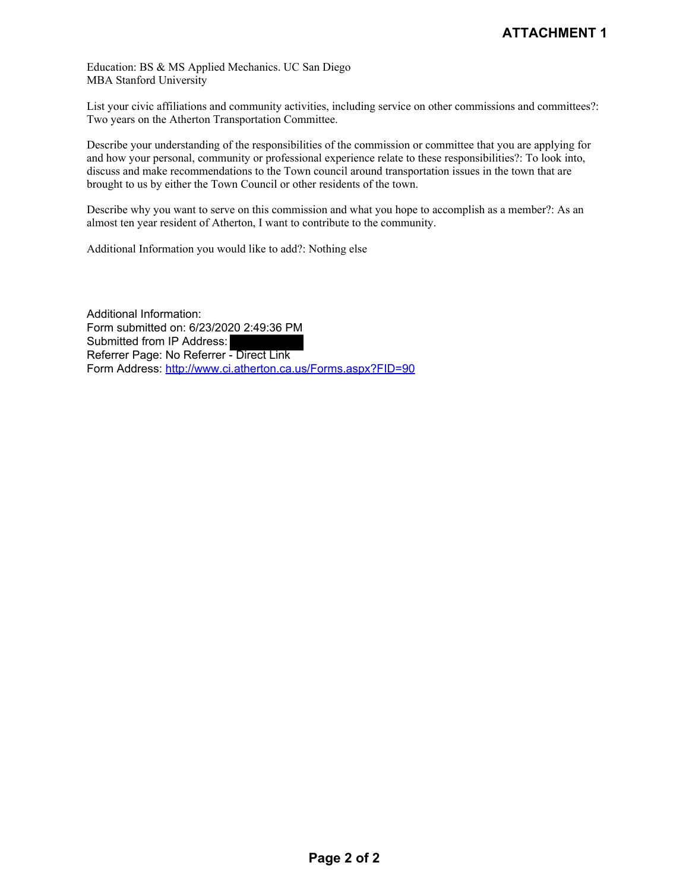Education: BS & MS Applied Mechanics. UC San Diego MBA Stanford University

List your civic affiliations and community activities, including service on other commissions and committees?: Two years on the Atherton Transportation Committee.

Describe your understanding of the responsibilities of the commission or committee that you are applying for and how your personal, community or professional experience relate to these responsibilities?: To look into, discuss and make recommendations to the Town council around transportation issues in the town that are brought to us by either the Town Council or other residents of the town.

Describe why you want to serve on this commission and what you hope to accomplish as a member?: As an almost ten year resident of Atherton, I want to contribute to the community.

Additional Information you would like to add?: Nothing else

Additional Information: Form submitted on: 6/23/2020 2:49:36 PM Submitted from IP Address: Referrer Page: No Referrer - Direct Link Form Address: http://www.ci.atherton.ca.us/Forms.aspx?FID=90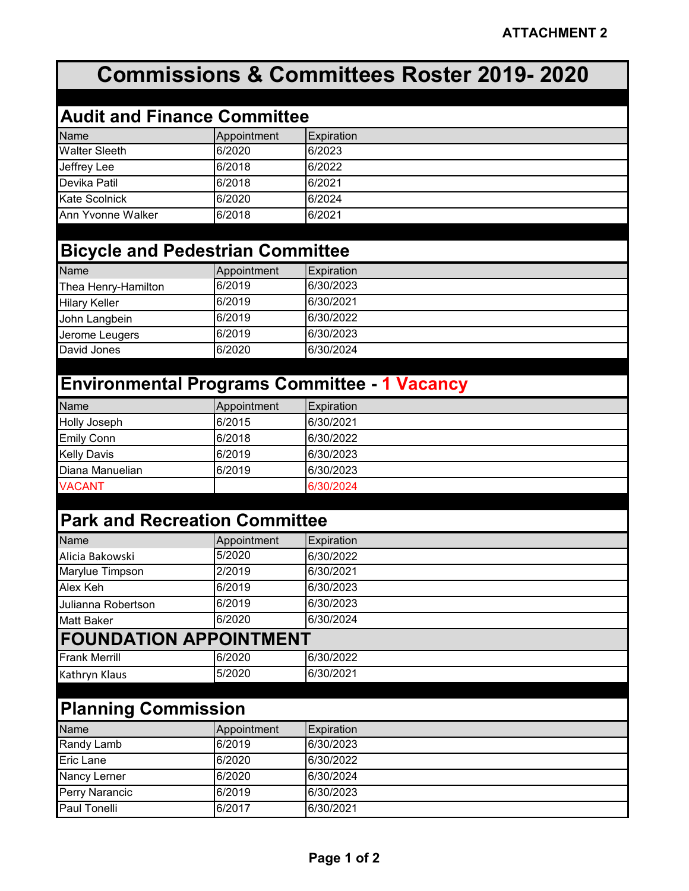# **Commissions & Committees Roster 2019- 2020**

| <b>Audit and Finance Committee</b> |             |                   |  |
|------------------------------------|-------------|-------------------|--|
| <b>Name</b>                        | Appointment | <b>Expiration</b> |  |
| <b>Walter Sleeth</b>               | 6/2020      | 6/2023            |  |
| Jeffrey Lee                        | 6/2018      | 6/2022            |  |
| Devika Patil                       | 6/2018      | 6/2021            |  |
| Kate Scolnick                      | 6/2020      | 6/2024            |  |
| Ann Yvonne Walker                  | 6/2018      | 6/2021            |  |

# **Bicycle and Pedestrian Committee**

| <b>Name</b>          | Appointment | <b>Expiration</b> |
|----------------------|-------------|-------------------|
| Thea Henry-Hamilton  | 6/2019      | 6/30/2023         |
| <b>Hilary Keller</b> | 6/2019      | 6/30/2021         |
| John Langbein        | 6/2019      | 6/30/2022         |
| Jerome Leugers       | 6/2019      | 6/30/2023         |
| David Jones          | 6/2020      | 6/30/2024         |

# **Environmental Programs Committee - 1 Vacancy**

| <b>Name</b>         | Appointment | <b>Expiration</b> |
|---------------------|-------------|-------------------|
| <b>Holly Joseph</b> | 6/2015      | 6/30/2021         |
| <b>Emily Conn</b>   | 6/2018      | 6/30/2022         |
| <b>Kelly Davis</b>  | 6/2019      | 6/30/2023         |
| Diana Manuelian     | 6/2019      | 6/30/2023         |
| <b>VACANT</b>       |             | 6/30/2024         |

# **Park and Recreation Committee**

| <b>Name</b>                   | Appointment | Expiration |
|-------------------------------|-------------|------------|
| Alicia Bakowski               | 5/2020      | 6/30/2022  |
| Marylue Timpson               | 2/2019      | 6/30/2021  |
| Alex Keh                      | 6/2019      | 6/30/2023  |
| Julianna Robertson            | 6/2019      | 6/30/2023  |
| <b>Matt Baker</b>             | 6/2020      | 6/30/2024  |
| <b>FOUNDATION APPOINTMENT</b> |             |            |
| <b>Frank Merrill</b>          | 6/2020      | 6/30/2022  |
| Kathryn Klaus                 | 5/2020      | 6/30/2021  |

# **Planning Commission**

| <b>Name</b>           | Appointment | Expiration |
|-----------------------|-------------|------------|
| Randy Lamb            | 6/2019      | 6/30/2023  |
| Eric Lane             | 6/2020      | 6/30/2022  |
| <b>Nancy Lerner</b>   | 6/2020      | 6/30/2024  |
| <b>Perry Narancic</b> | 6/2019      | 6/30/2023  |
| <b>Paul Tonelli</b>   | 6/2017      | 6/30/2021  |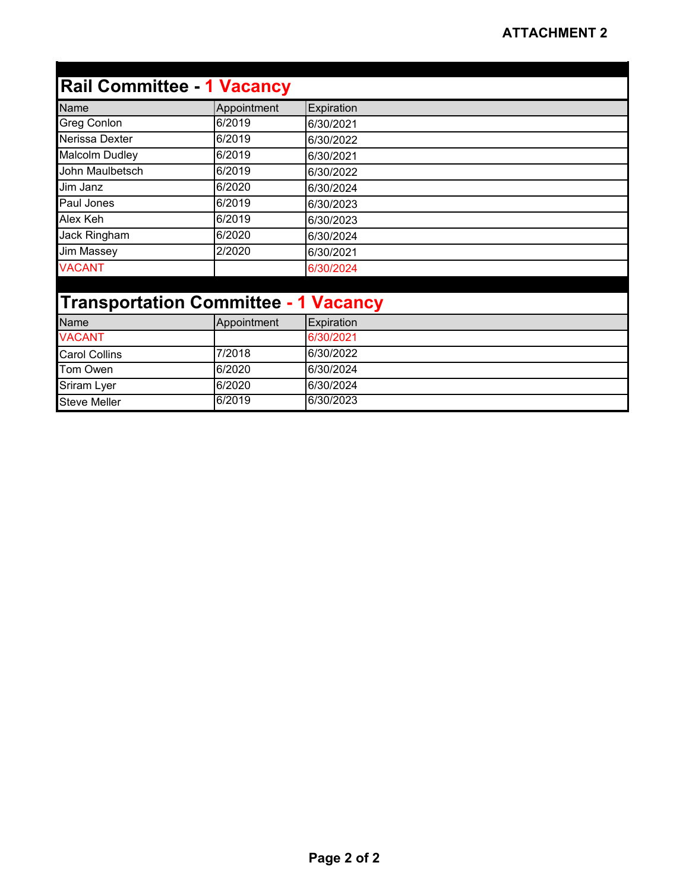| <b>Rail Committee - 1 Vacancy</b>           |             |            |
|---------------------------------------------|-------------|------------|
| Name                                        | Appointment | Expiration |
| <b>Greg Conlon</b>                          | 6/2019      | 6/30/2021  |
| Nerissa Dexter                              | 6/2019      | 6/30/2022  |
| Malcolm Dudley                              | 6/2019      | 6/30/2021  |
| John Maulbetsch                             | 6/2019      | 6/30/2022  |
| Jim Janz                                    | 6/2020      | 6/30/2024  |
| Paul Jones                                  | 6/2019      | 6/30/2023  |
| Alex Keh                                    | 6/2019      | 6/30/2023  |
| Jack Ringham                                | 6/2020      | 6/30/2024  |
| <b>Jim Massey</b>                           | 2/2020      | 6/30/2021  |
| <b>VACANT</b>                               |             | 6/30/2024  |
|                                             |             |            |
| <b>Transportation Committee - 1 Vacancy</b> |             |            |
| Name                                        | Appointment | Expiration |
| <b>VACANT</b>                               |             | 6/30/2021  |
| <b>Carol Collins</b>                        | 7/2018      | 6/30/2022  |
| Tom Owen                                    | 6/2020      | 6/30/2024  |
| Sriram Lyer                                 | 6/2020      | 6/30/2024  |
| <b>Steve Meller</b>                         | 6/2019      | 6/30/2023  |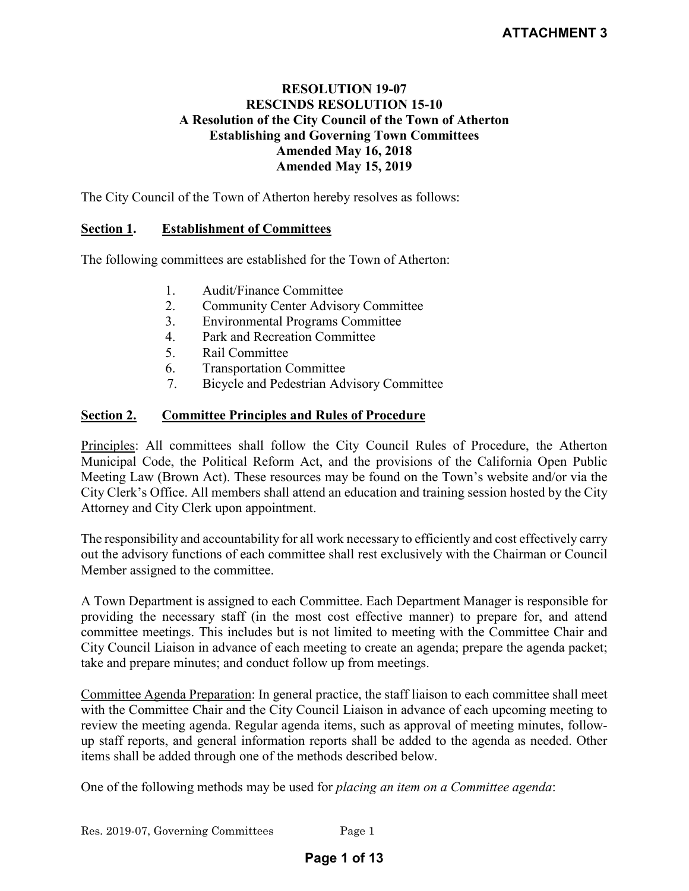### **RESOLUTION 19-07 RESCINDS RESOLUTION 15-10 A Resolution of the City Council of the Town of Atherton Establishing and Governing Town Committees Amended May 16, 2018 Amended May 15, 2019**

The City Council of the Town of Atherton hereby resolves as follows:

# **Section 1. Establishment of Committees**

The following committees are established for the Town of Atherton:

- 1. Audit/Finance Committee
- 2. Community Center Advisory Committee
- 3. Environmental Programs Committee
- 4. Park and Recreation Committee
- 5. Rail Committee
- 6. Transportation Committee
- 7. Bicycle and Pedestrian Advisory Committee

# **Section 2. Committee Principles and Rules of Procedure**

Principles: All committees shall follow the City Council Rules of Procedure, the Atherton Municipal Code, the Political Reform Act, and the provisions of the California Open Public Meeting Law (Brown Act). These resources may be found on the Town's website and/or via the City Clerk's Office. All members shall attend an education and training session hosted by the City Attorney and City Clerk upon appointment.

The responsibility and accountability for all work necessary to efficiently and cost effectively carry out the advisory functions of each committee shall rest exclusively with the Chairman or Council Member assigned to the committee.

A Town Department is assigned to each Committee. Each Department Manager is responsible for providing the necessary staff (in the most cost effective manner) to prepare for, and attend committee meetings. This includes but is not limited to meeting with the Committee Chair and City Council Liaison in advance of each meeting to create an agenda; prepare the agenda packet; take and prepare minutes; and conduct follow up from meetings.

Committee Agenda Preparation: In general practice, the staff liaison to each committee shall meet with the Committee Chair and the City Council Liaison in advance of each upcoming meeting to review the meeting agenda. Regular agenda items, such as approval of meeting minutes, followup staff reports, and general information reports shall be added to the agenda as needed. Other items shall be added through one of the methods described below.

One of the following methods may be used for *placing an item on a Committee agenda*: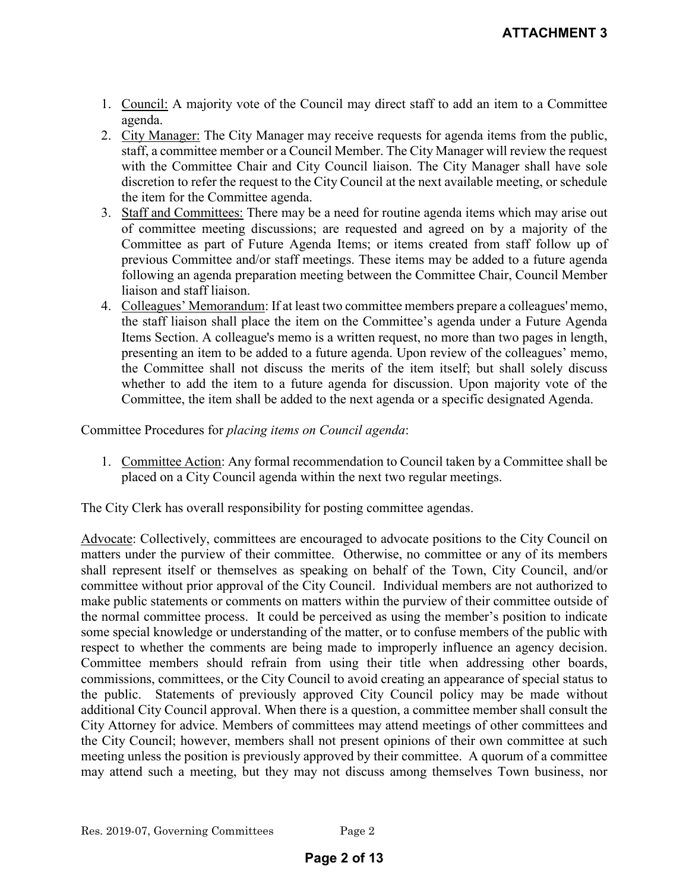- 1. Council: A majority vote of the Council may direct staff to add an item to a Committee agenda.
- 2. City Manager: The City Manager may receive requests for agenda items from the public, staff, a committee member or a Council Member. The City Manager will review the request with the Committee Chair and City Council liaison. The City Manager shall have sole discretion to refer the request to the City Council at the next available meeting, or schedule the item for the Committee agenda.
- 3. Staff and Committees: There may be a need for routine agenda items which may arise out of committee meeting discussions; are requested and agreed on by a majority of the Committee as part of Future Agenda Items; or items created from staff follow up of previous Committee and/or staff meetings. These items may be added to a future agenda following an agenda preparation meeting between the Committee Chair, Council Member liaison and staff liaison.
- 4. Colleagues' Memorandum: If at least two committee members prepare a colleagues' memo, the staff liaison shall place the item on the Committee's agenda under a Future Agenda Items Section. A colleague's memo is a written request, no more than two pages in length, presenting an item to be added to a future agenda. Upon review of the colleagues' memo, the Committee shall not discuss the merits of the item itself; but shall solely discuss whether to add the item to a future agenda for discussion. Upon majority vote of the Committee, the item shall be added to the next agenda or a specific designated Agenda.

Committee Procedures for *placing items on Council agenda*:

1. Committee Action: Any formal recommendation to Council taken by a Committee shall be placed on a City Council agenda within the next two regular meetings.

The City Clerk has overall responsibility for posting committee agendas.

Advocate: Collectively, committees are encouraged to advocate positions to the City Council on matters under the purview of their committee. Otherwise, no committee or any of its members shall represent itself or themselves as speaking on behalf of the Town, City Council, and/or committee without prior approval of the City Council. Individual members are not authorized to make public statements or comments on matters within the purview of their committee outside of the normal committee process. It could be perceived as using the member's position to indicate some special knowledge or understanding of the matter, or to confuse members of the public with respect to whether the comments are being made to improperly influence an agency decision. Committee members should refrain from using their title when addressing other boards, commissions, committees, or the City Council to avoid creating an appearance of special status to the public. Statements of previously approved City Council policy may be made without additional City Council approval. When there is a question, a committee member shall consult the City Attorney for advice. Members of committees may attend meetings of other committees and the City Council; however, members shall not present opinions of their own committee at such meeting unless the position is previously approved by their committee. A quorum of a committee may attend such a meeting, but they may not discuss among themselves Town business, nor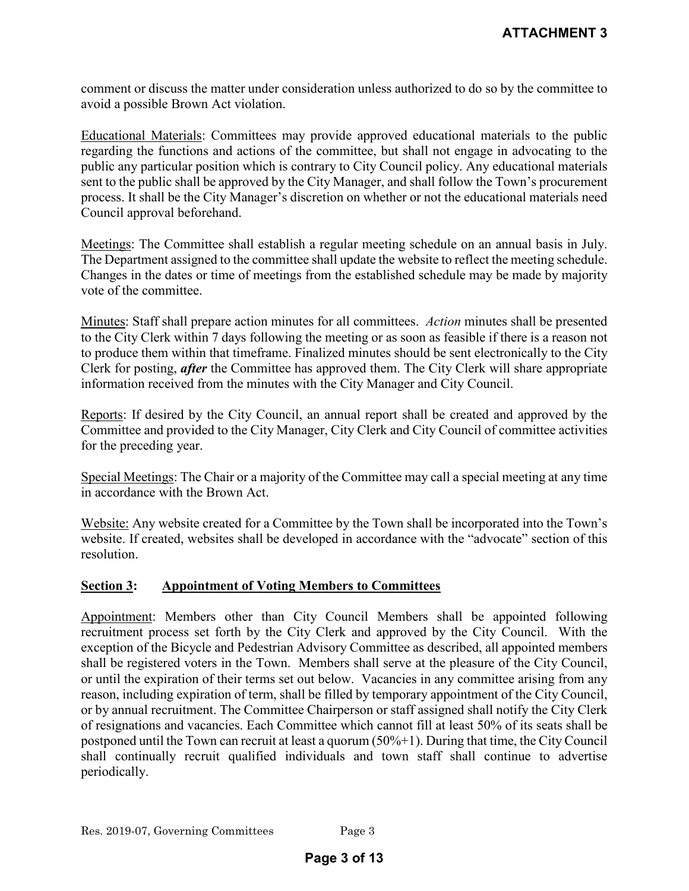comment or discuss the matter under consideration unless authorized to do so by the committee to avoid a possible Brown Act violation.

Educational Materials: Committees may provide approved educational materials to the public regarding the functions and actions of the committee, but shall not engage in advocating to the public any particular position which is contrary to City Council policy. Any educational materials sent to the public shall be approved by the City Manager, and shall follow the Town's procurement process. It shall be the City Manager's discretion on whether or not the educational materials need Council approval beforehand.

Meetings: The Committee shall establish a regular meeting schedule on an annual basis in July. The Department assigned to the committee shall update the website to reflect the meeting schedule. Changes in the dates or time of meetings from the established schedule may be made by majority vote of the committee.

Minutes: Staff shall prepare action minutes for all committees. *Action* minutes shall be presented to the City Clerk within 7 days following the meeting or as soon as feasible if there is a reason not to produce them within that timeframe. Finalized minutes should be sent electronically to the City Clerk for posting, *after* the Committee has approved them. The City Clerk will share appropriate information received from the minutes with the City Manager and City Council.

Reports: If desired by the City Council, an annual report shall be created and approved by the Committee and provided to the City Manager, City Clerk and City Council of committee activities for the preceding year.

Special Meetings: The Chair or a majority of the Committee may call a special meeting at any time in accordance with the Brown Act.

Website: Any website created for a Committee by the Town shall be incorporated into the Town's website. If created, websites shall be developed in accordance with the "advocate" section of this resolution.

#### **Section 3: Appointment of Voting Members to Committees**

Appointment: Members other than City Council Members shall be appointed following recruitment process set forth by the City Clerk and approved by the City Council. With the exception of the Bicycle and Pedestrian Advisory Committee as described, all appointed members shall be registered voters in the Town. Members shall serve at the pleasure of the City Council, or until the expiration of their terms set out below. Vacancies in any committee arising from any reason, including expiration of term, shall be filled by temporary appointment of the City Council, or by annual recruitment. The Committee Chairperson or staff assigned shall notify the City Clerk of resignations and vacancies. Each Committee which cannot fill at least 50% of its seats shall be postponed until the Town can recruit at least a quorum (50%+1). During that time, the City Council shall continually recruit qualified individuals and town staff shall continue to advertise periodically.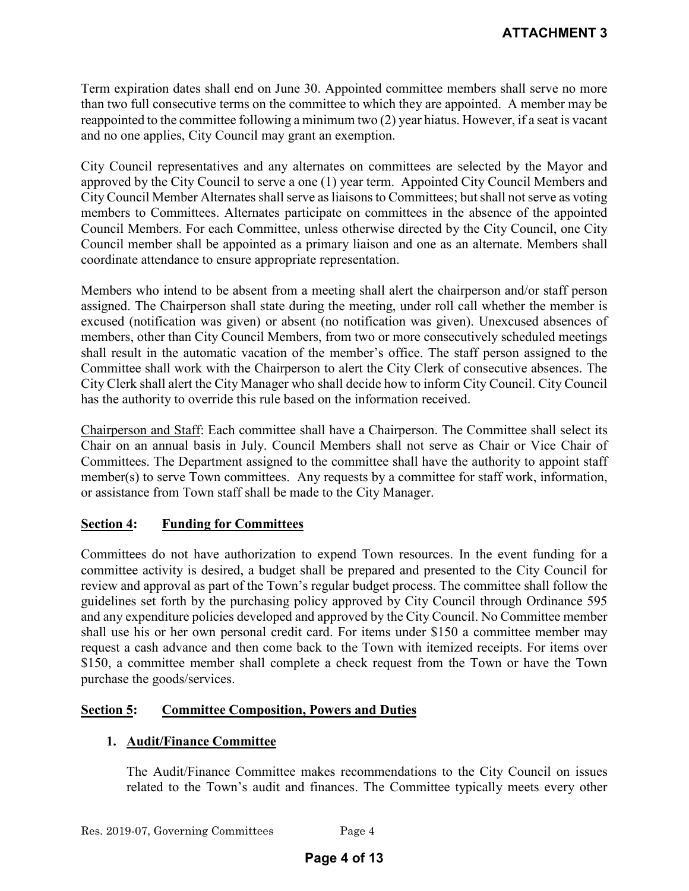Term expiration dates shall end on June 30. Appointed committee members shall serve no more than two full consecutive terms on the committee to which they are appointed. A member may be reappointed to the committee following a minimum two (2) year hiatus. However, if a seat is vacant and no one applies, City Council may grant an exemption.

City Council representatives and any alternates on committees are selected by the Mayor and approved by the City Council to serve a one (1) year term. Appointed City Council Members and City Council Member Alternates shall serve as liaisons to Committees; but shall not serve as voting members to Committees. Alternates participate on committees in the absence of the appointed Council Members. For each Committee, unless otherwise directed by the City Council, one City Council member shall be appointed as a primary liaison and one as an alternate. Members shall coordinate attendance to ensure appropriate representation.

Members who intend to be absent from a meeting shall alert the chairperson and/or staff person assigned. The Chairperson shall state during the meeting, under roll call whether the member is excused (notification was given) or absent (no notification was given). Unexcused absences of members, other than City Council Members, from two or more consecutively scheduled meetings shall result in the automatic vacation of the member's office. The staff person assigned to the Committee shall work with the Chairperson to alert the City Clerk of consecutive absences. The City Clerk shall alert the City Manager who shall decide how to inform City Council. City Council has the authority to override this rule based on the information received.

Chairperson and Staff: Each committee shall have a Chairperson. The Committee shall select its Chair on an annual basis in July. Council Members shall not serve as Chair or Vice Chair of Committees. The Department assigned to the committee shall have the authority to appoint staff member(s) to serve Town committees. Any requests by a committee for staff work, information, or assistance from Town staff shall be made to the City Manager.

### **Section 4: Funding for Committees**

Committees do not have authorization to expend Town resources. In the event funding for a committee activity is desired, a budget shall be prepared and presented to the City Council for review and approval as part of the Town's regular budget process. The committee shall follow the guidelines set forth by the purchasing policy approved by City Council through Ordinance 595 and any expenditure policies developed and approved by the City Council. No Committee member shall use his or her own personal credit card. For items under \$150 a committee member may request a cash advance and then come back to the Town with itemized receipts. For items over \$150, a committee member shall complete a check request from the Town or have the Town purchase the goods/services.

### **Section 5: Committee Composition, Powers and Duties**

### **1. Audit/Finance Committee**

The Audit/Finance Committee makes recommendations to the City Council on issues related to the Town's audit and finances. The Committee typically meets every other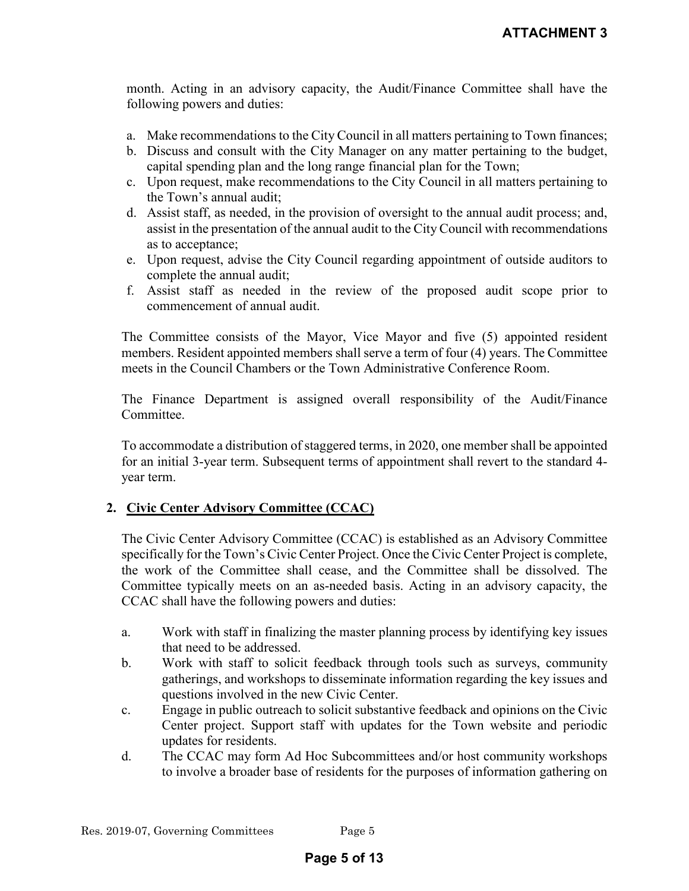month. Acting in an advisory capacity, the Audit/Finance Committee shall have the following powers and duties:

- a. Make recommendations to the City Council in all matters pertaining to Town finances;
- b. Discuss and consult with the City Manager on any matter pertaining to the budget, capital spending plan and the long range financial plan for the Town;
- c. Upon request, make recommendations to the City Council in all matters pertaining to the Town's annual audit;
- d. Assist staff, as needed, in the provision of oversight to the annual audit process; and, assist in the presentation of the annual audit to the City Council with recommendations as to acceptance;
- e. Upon request, advise the City Council regarding appointment of outside auditors to complete the annual audit;
- f. Assist staff as needed in the review of the proposed audit scope prior to commencement of annual audit.

The Committee consists of the Mayor, Vice Mayor and five (5) appointed resident members. Resident appointed members shall serve a term of four (4) years. The Committee meets in the Council Chambers or the Town Administrative Conference Room.

The Finance Department is assigned overall responsibility of the Audit/Finance Committee.

To accommodate a distribution of staggered terms, in 2020, one member shall be appointed for an initial 3-year term. Subsequent terms of appointment shall revert to the standard 4 year term.

### **2. Civic Center Advisory Committee (CCAC)**

The Civic Center Advisory Committee (CCAC) is established as an Advisory Committee specifically for the Town's Civic Center Project. Once the Civic Center Project is complete, the work of the Committee shall cease, and the Committee shall be dissolved. The Committee typically meets on an as-needed basis. Acting in an advisory capacity, the CCAC shall have the following powers and duties:

- a. Work with staff in finalizing the master planning process by identifying key issues that need to be addressed.
- b. Work with staff to solicit feedback through tools such as surveys, community gatherings, and workshops to disseminate information regarding the key issues and questions involved in the new Civic Center.
- c. Engage in public outreach to solicit substantive feedback and opinions on the Civic Center project. Support staff with updates for the Town website and periodic updates for residents.
- d. The CCAC may form Ad Hoc Subcommittees and/or host community workshops to involve a broader base of residents for the purposes of information gathering on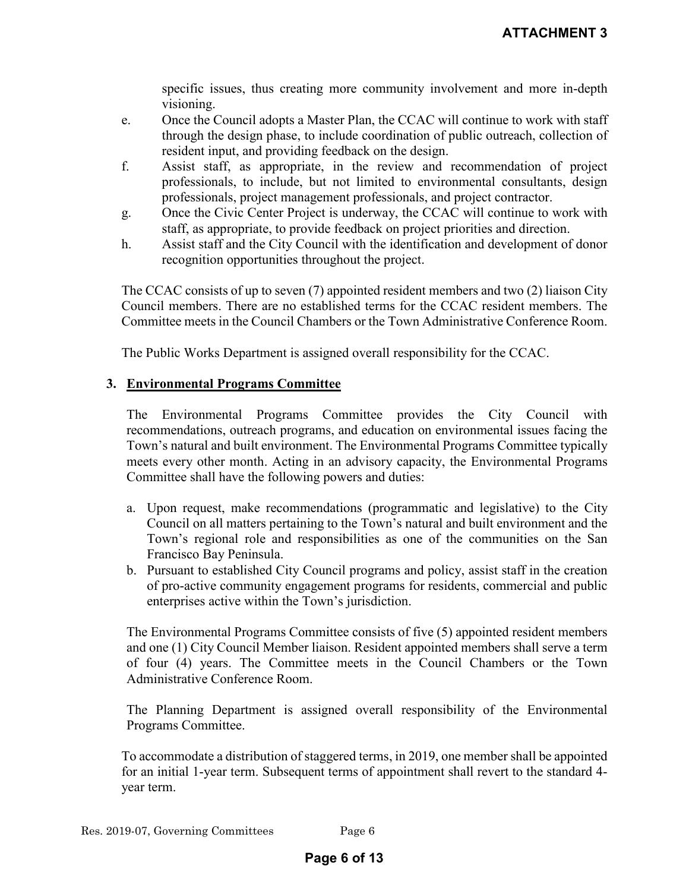specific issues, thus creating more community involvement and more in-depth visioning.

- e. Once the Council adopts a Master Plan, the CCAC will continue to work with staff through the design phase, to include coordination of public outreach, collection of resident input, and providing feedback on the design.
- f. Assist staff, as appropriate, in the review and recommendation of project professionals, to include, but not limited to environmental consultants, design professionals, project management professionals, and project contractor.
- g. Once the Civic Center Project is underway, the CCAC will continue to work with staff, as appropriate, to provide feedback on project priorities and direction.
- h. Assist staff and the City Council with the identification and development of donor recognition opportunities throughout the project.

The CCAC consists of up to seven (7) appointed resident members and two (2) liaison City Council members. There are no established terms for the CCAC resident members. The Committee meets in the Council Chambers or the Town Administrative Conference Room.

The Public Works Department is assigned overall responsibility for the CCAC.

#### **3. Environmental Programs Committee**

The Environmental Programs Committee provides the City Council with recommendations, outreach programs, and education on environmental issues facing the Town's natural and built environment. The Environmental Programs Committee typically meets every other month. Acting in an advisory capacity, the Environmental Programs Committee shall have the following powers and duties:

- a. Upon request, make recommendations (programmatic and legislative) to the City Council on all matters pertaining to the Town's natural and built environment and the Town's regional role and responsibilities as one of the communities on the San Francisco Bay Peninsula.
- b. Pursuant to established City Council programs and policy, assist staff in the creation of pro-active community engagement programs for residents, commercial and public enterprises active within the Town's jurisdiction.

The Environmental Programs Committee consists of five (5) appointed resident members and one (1) City Council Member liaison. Resident appointed members shall serve a term of four (4) years. The Committee meets in the Council Chambers or the Town Administrative Conference Room.

The Planning Department is assigned overall responsibility of the Environmental Programs Committee.

To accommodate a distribution of staggered terms, in 2019, one member shall be appointed for an initial 1-year term. Subsequent terms of appointment shall revert to the standard 4 year term.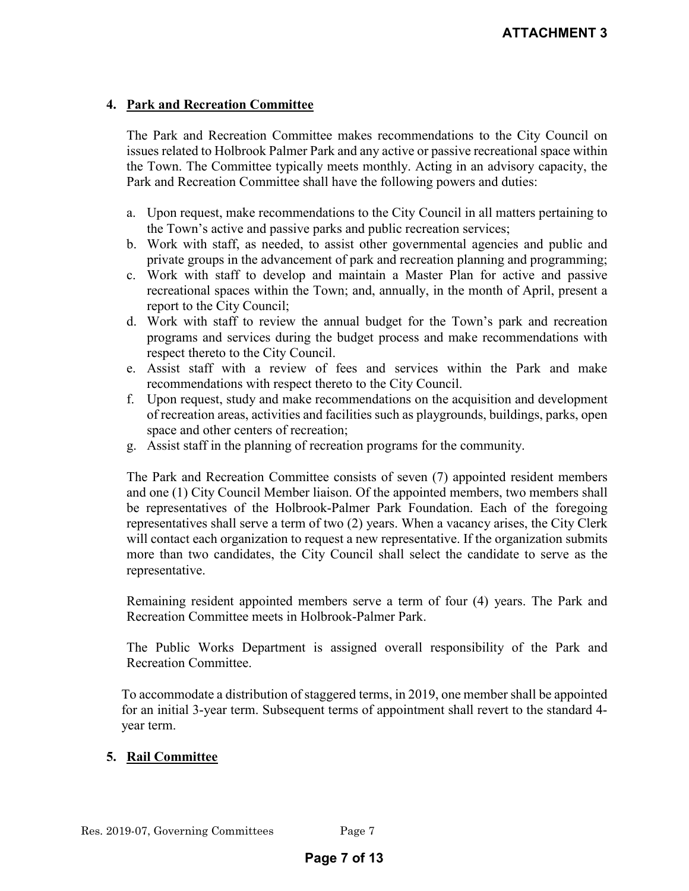#### **4. Park and Recreation Committee**

The Park and Recreation Committee makes recommendations to the City Council on issues related to Holbrook Palmer Park and any active or passive recreational space within the Town. The Committee typically meets monthly. Acting in an advisory capacity, the Park and Recreation Committee shall have the following powers and duties:

- a. Upon request, make recommendations to the City Council in all matters pertaining to the Town's active and passive parks and public recreation services;
- b. Work with staff, as needed, to assist other governmental agencies and public and private groups in the advancement of park and recreation planning and programming;
- c. Work with staff to develop and maintain a Master Plan for active and passive recreational spaces within the Town; and, annually, in the month of April, present a report to the City Council;
- d. Work with staff to review the annual budget for the Town's park and recreation programs and services during the budget process and make recommendations with respect thereto to the City Council.
- e. Assist staff with a review of fees and services within the Park and make recommendations with respect thereto to the City Council.
- f. Upon request, study and make recommendations on the acquisition and development of recreation areas, activities and facilities such as playgrounds, buildings, parks, open space and other centers of recreation;
- g. Assist staff in the planning of recreation programs for the community.

The Park and Recreation Committee consists of seven (7) appointed resident members and one (1) City Council Member liaison. Of the appointed members, two members shall be representatives of the Holbrook-Palmer Park Foundation. Each of the foregoing representatives shall serve a term of two (2) years. When a vacancy arises, the City Clerk will contact each organization to request a new representative. If the organization submits more than two candidates, the City Council shall select the candidate to serve as the representative.

Remaining resident appointed members serve a term of four (4) years. The Park and Recreation Committee meets in Holbrook-Palmer Park.

The Public Works Department is assigned overall responsibility of the Park and Recreation Committee.

To accommodate a distribution of staggered terms, in 2019, one member shall be appointed for an initial 3-year term. Subsequent terms of appointment shall revert to the standard 4 year term.

### **5. Rail Committee**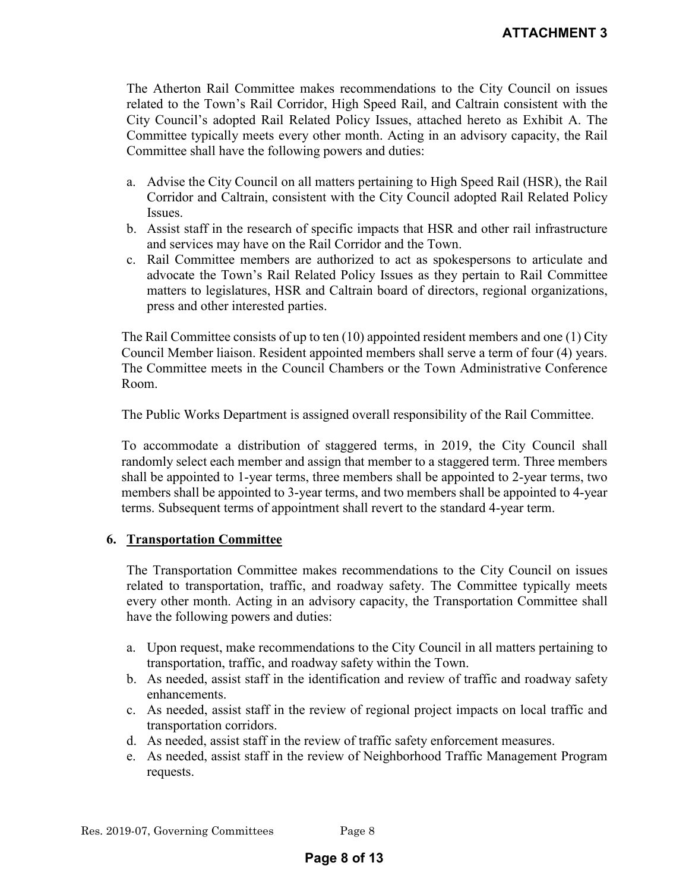The Atherton Rail Committee makes recommendations to the City Council on issues related to the Town's Rail Corridor, High Speed Rail, and Caltrain consistent with the City Council's adopted Rail Related Policy Issues, attached hereto as Exhibit A. The Committee typically meets every other month. Acting in an advisory capacity, the Rail Committee shall have the following powers and duties:

- a. Advise the City Council on all matters pertaining to High Speed Rail (HSR), the Rail Corridor and Caltrain, consistent with the City Council adopted Rail Related Policy Issues.
- b. Assist staff in the research of specific impacts that HSR and other rail infrastructure and services may have on the Rail Corridor and the Town.
- c. Rail Committee members are authorized to act as spokespersons to articulate and advocate the Town's Rail Related Policy Issues as they pertain to Rail Committee matters to legislatures, HSR and Caltrain board of directors, regional organizations, press and other interested parties.

The Rail Committee consists of up to ten (10) appointed resident members and one (1) City Council Member liaison. Resident appointed members shall serve a term of four (4) years. The Committee meets in the Council Chambers or the Town Administrative Conference Room.

The Public Works Department is assigned overall responsibility of the Rail Committee.

To accommodate a distribution of staggered terms, in 2019, the City Council shall randomly select each member and assign that member to a staggered term. Three members shall be appointed to 1-year terms, three members shall be appointed to 2-year terms, two members shall be appointed to 3-year terms, and two members shall be appointed to 4-year terms. Subsequent terms of appointment shall revert to the standard 4-year term.

#### **6. Transportation Committee**

The Transportation Committee makes recommendations to the City Council on issues related to transportation, traffic, and roadway safety. The Committee typically meets every other month. Acting in an advisory capacity, the Transportation Committee shall have the following powers and duties:

- a. Upon request, make recommendations to the City Council in all matters pertaining to transportation, traffic, and roadway safety within the Town.
- b. As needed, assist staff in the identification and review of traffic and roadway safety enhancements.
- c. As needed, assist staff in the review of regional project impacts on local traffic and transportation corridors.
- d. As needed, assist staff in the review of traffic safety enforcement measures.
- e. As needed, assist staff in the review of Neighborhood Traffic Management Program requests.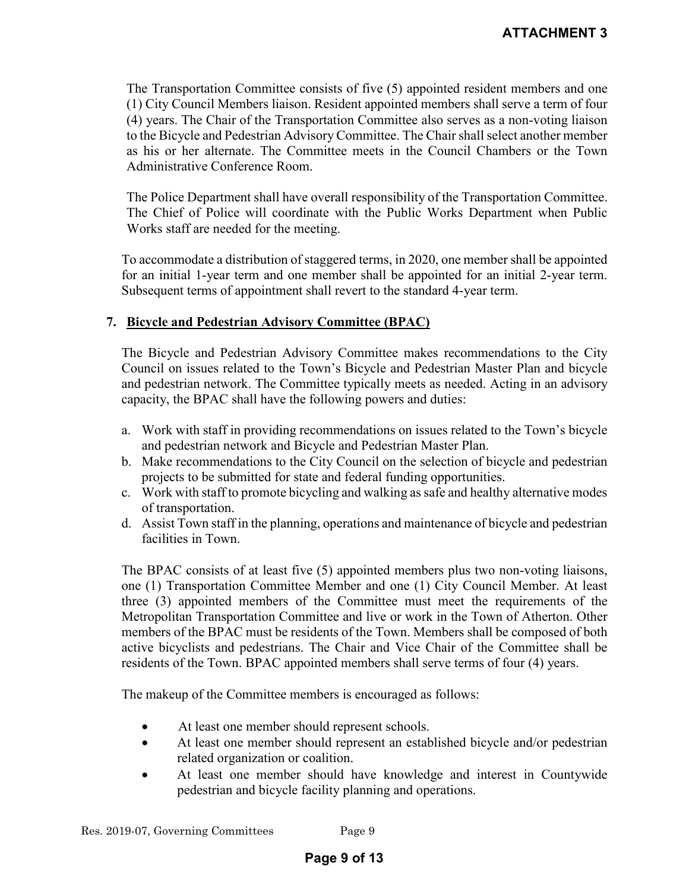The Transportation Committee consists of five (5) appointed resident members and one (1) City Council Members liaison. Resident appointed members shall serve a term of four (4) years. The Chair of the Transportation Committee also serves as a non-voting liaison to the Bicycle and Pedestrian Advisory Committee. The Chair shall select another member as his or her alternate. The Committee meets in the Council Chambers or the Town Administrative Conference Room.

The Police Department shall have overall responsibility of the Transportation Committee. The Chief of Police will coordinate with the Public Works Department when Public Works staff are needed for the meeting.

To accommodate a distribution of staggered terms, in 2020, one member shall be appointed for an initial 1-year term and one member shall be appointed for an initial 2-year term. Subsequent terms of appointment shall revert to the standard 4-year term.

### **7. Bicycle and Pedestrian Advisory Committee (BPAC)**

The Bicycle and Pedestrian Advisory Committee makes recommendations to the City Council on issues related to the Town's Bicycle and Pedestrian Master Plan and bicycle and pedestrian network. The Committee typically meets as needed. Acting in an advisory capacity, the BPAC shall have the following powers and duties:

- a. Work with staff in providing recommendations on issues related to the Town's bicycle and pedestrian network and Bicycle and Pedestrian Master Plan.
- b. Make recommendations to the City Council on the selection of bicycle and pedestrian projects to be submitted for state and federal funding opportunities.
- c. Work with staff to promote bicycling and walking as safe and healthy alternative modes of transportation.
- d. Assist Town staff in the planning, operations and maintenance of bicycle and pedestrian facilities in Town.

The BPAC consists of at least five (5) appointed members plus two non-voting liaisons, one (1) Transportation Committee Member and one (1) City Council Member. At least three (3) appointed members of the Committee must meet the requirements of the Metropolitan Transportation Committee and live or work in the Town of Atherton. Other members of the BPAC must be residents of the Town. Members shall be composed of both active bicyclists and pedestrians. The Chair and Vice Chair of the Committee shall be residents of the Town. BPAC appointed members shall serve terms of four (4) years.

The makeup of the Committee members is encouraged as follows:

- At least one member should represent schools.
- At least one member should represent an established bicycle and/or pedestrian related organization or coalition.
- At least one member should have knowledge and interest in Countywide pedestrian and bicycle facility planning and operations.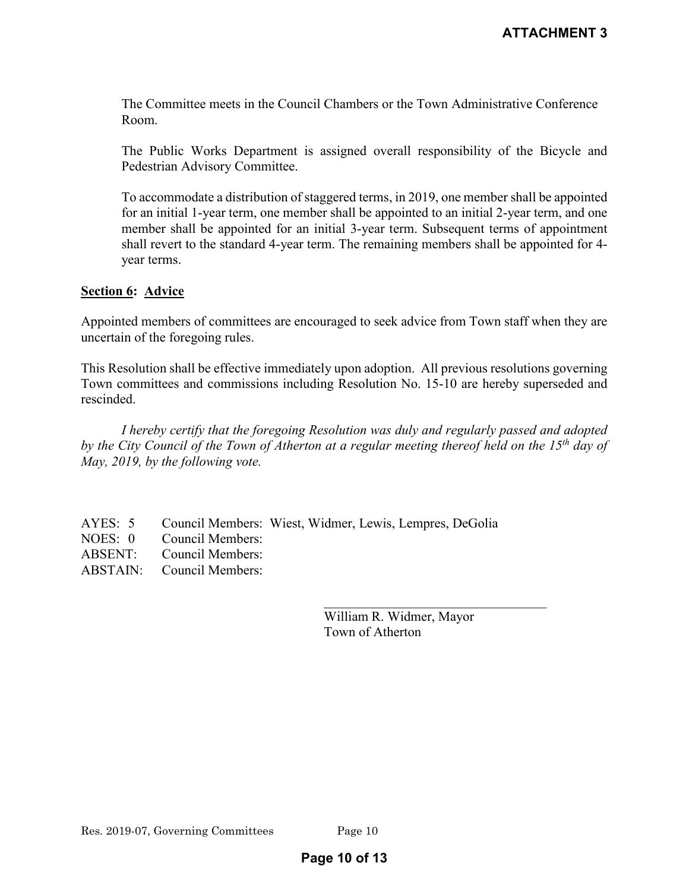The Committee meets in the Council Chambers or the Town Administrative Conference Room.

The Public Works Department is assigned overall responsibility of the Bicycle and Pedestrian Advisory Committee.

To accommodate a distribution of staggered terms, in 2019, one member shall be appointed for an initial 1-year term, one member shall be appointed to an initial 2-year term, and one member shall be appointed for an initial 3-year term. Subsequent terms of appointment shall revert to the standard 4-year term. The remaining members shall be appointed for 4 year terms.

#### **Section 6: Advice**

Appointed members of committees are encouraged to seek advice from Town staff when they are uncertain of the foregoing rules.

This Resolution shall be effective immediately upon adoption. All previous resolutions governing Town committees and commissions including Resolution No. 15-10 are hereby superseded and rescinded.

*I hereby certify that the foregoing Resolution was duly and regularly passed and adopted by the City Council of the Town of Atherton at a regular meeting thereof held on the 15th day of May, 2019, by the following vote.* 

| AYES: 5 Council Members: Wiest, Widmer, Lewis, Lempres, DeGolia |
|-----------------------------------------------------------------|
|                                                                 |
|                                                                 |
|                                                                 |
|                                                                 |

| William R. Widmer, Mayor |
|--------------------------|
| Town of Atherton         |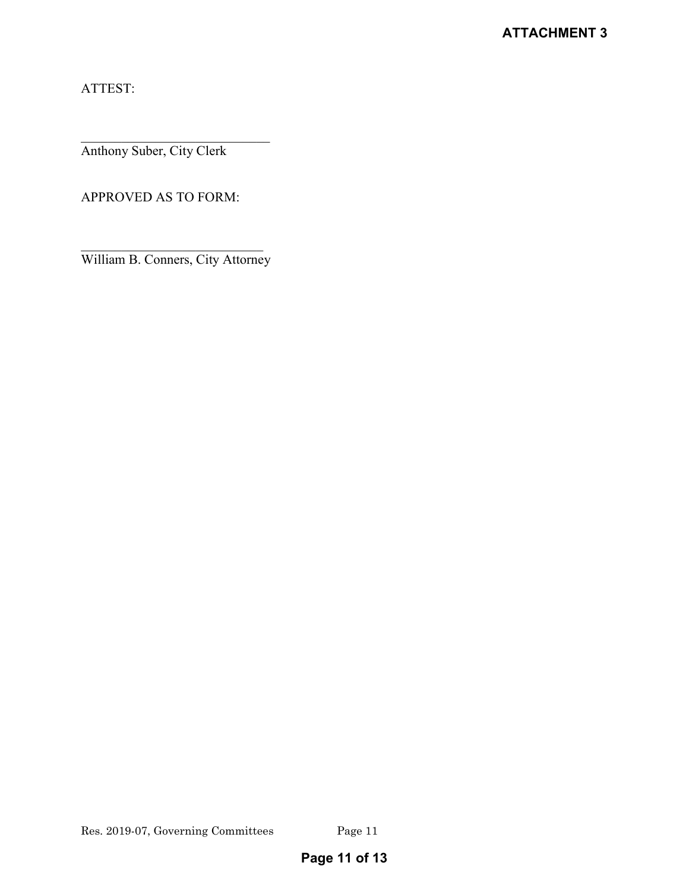ATTEST:

Anthony Suber, City Clerk

APPROVED AS TO FORM:

\_\_\_\_\_\_\_\_\_\_\_\_\_\_\_\_\_\_\_\_\_\_\_\_\_\_\_ William B. Conners, City Attorney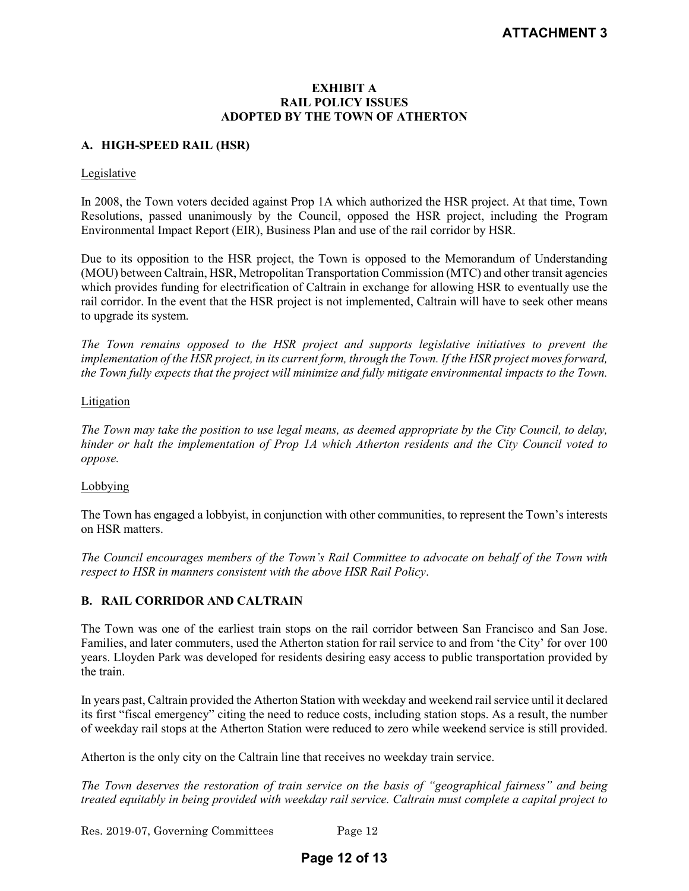#### **EXHIBIT A RAIL POLICY ISSUES ADOPTED BY THE TOWN OF ATHERTON**

#### **A. HIGH-SPEED RAIL (HSR)**

#### Legislative

In 2008, the Town voters decided against Prop 1A which authorized the HSR project. At that time, Town Resolutions, passed unanimously by the Council, opposed the HSR project, including the Program Environmental Impact Report (EIR), Business Plan and use of the rail corridor by HSR.

Due to its opposition to the HSR project, the Town is opposed to the Memorandum of Understanding (MOU) between Caltrain, HSR, Metropolitan Transportation Commission (MTC) and other transit agencies which provides funding for electrification of Caltrain in exchange for allowing HSR to eventually use the rail corridor. In the event that the HSR project is not implemented, Caltrain will have to seek other means to upgrade its system.

*The Town remains opposed to the HSR project and supports legislative initiatives to prevent the implementation of the HSR project, in its current form, through the Town. If the HSR project moves forward, the Town fully expects that the project will minimize and fully mitigate environmental impacts to the Town.*

#### Litigation

*The Town may take the position to use legal means, as deemed appropriate by the City Council, to delay, hinder or halt the implementation of Prop 1A which Atherton residents and the City Council voted to oppose.* 

#### Lobbying

The Town has engaged a lobbyist, in conjunction with other communities, to represent the Town's interests on HSR matters.

*The Council encourages members of the Town's Rail Committee to advocate on behalf of the Town with respect to HSR in manners consistent with the above HSR Rail Policy*.

#### **B. RAIL CORRIDOR AND CALTRAIN**

The Town was one of the earliest train stops on the rail corridor between San Francisco and San Jose. Families, and later commuters, used the Atherton station for rail service to and from 'the City' for over 100 years. Lloyden Park was developed for residents desiring easy access to public transportation provided by the train.

In years past, Caltrain provided the Atherton Station with weekday and weekend rail service until it declared its first "fiscal emergency" citing the need to reduce costs, including station stops. As a result, the number of weekday rail stops at the Atherton Station were reduced to zero while weekend service is still provided.

Atherton is the only city on the Caltrain line that receives no weekday train service.

*The Town deserves the restoration of train service on the basis of "geographical fairness" and being treated equitably in being provided with weekday rail service. Caltrain must complete a capital project to* 

Res. 2019-07, Governing Committees Page 12